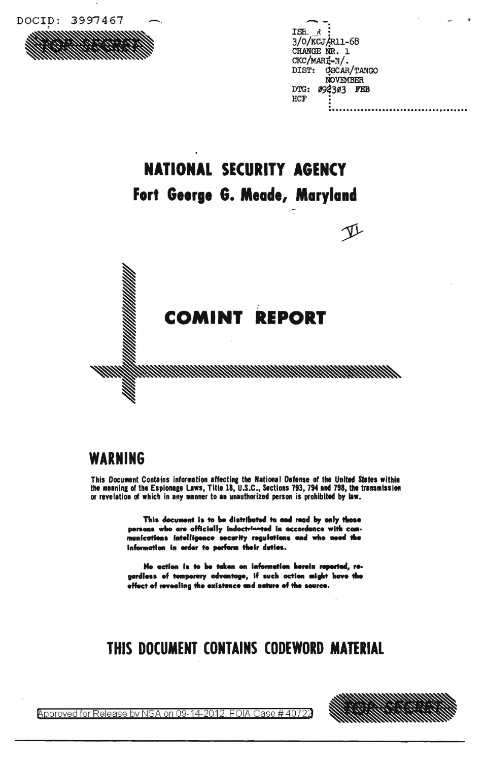

|                    | 44 |
|--------------------|----|
| ISH. R             |    |
| 3/0/KCJ/R11-68     |    |
| CHANGE NR. 1       |    |
| CKC/MARI-N/.       |    |
| DIST: OSCAR/TANGO  |    |
| <b>NOVEMBER</b>    |    |
| 092303 FEB<br>DTG: |    |
| HCF                |    |
|                    |    |

# **NATIONAL SECURITY AGENCY** Fort George G. Meade, Maryland

**COMINT REPORT** 

1999/1999/1999

#### WARNING

This Document Contains information affecting the National Defense of the United States within<br>the meaning of the Espionage Laws, Title 18, U.S.C., Sections 793, 794 and 798, the transmission or revelation of which in any manner to an unauthorized person is prohibited by law.

> This document is to be distributed to and read by only those persons who are officially indoctrinated in accordance with communications intelligence security regulations and who need the information in order to perform their duties.

> No action is to be taken on information herein reported, regardless of temporary advantage, if such action might have the effect of revealing the existence and nature of the source.

#### THIS DOCUMENT CONTAINS CODEWORD MATERIAL



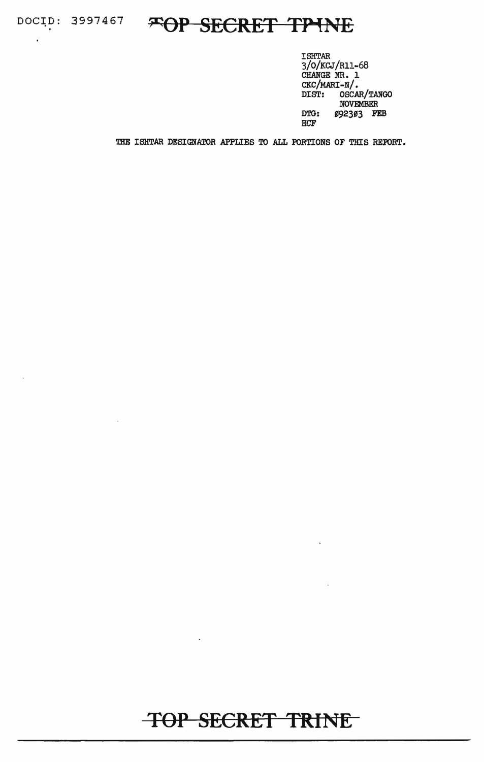$\ddot{\phantom{a}}$ 

# DOCID: 3997467 **FOP SECRET TPINE**

ISHTAR 3/0/KCJ/Rll-68 CHANGE NR. 1 CKC/MARI-N/. DIST: OSCAR/TANGO NOVEMBER DTG: 092303 FEB HCF

THE ISHTAR DESIGNATOR APPLIES TO ALL PORTIONS OF THIS REPORT.

## **TOP SECRET TRINE**

 $\ddot{\phantom{0}}$ 

 $\ddot{\phantom{a}}$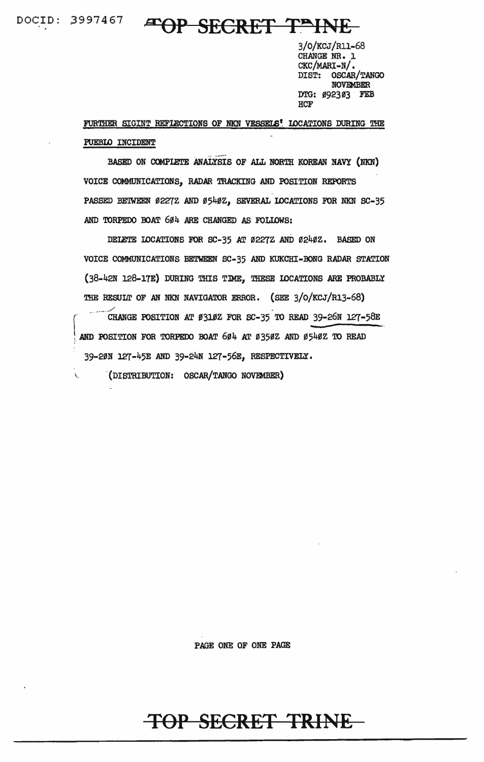DOCID: 3997467

À.

### FOP SECRET TEINE

3/0/KCJ/R11-68 CHANGE NR. 1  $CKC/MART-N$ . DIST: OSCAR/TANGO **NOVEMBER** DTG: Ø92303 FEB **HCF** 

FURTHER SIGINT REFLECTIONS OF NKN VESSELS! LOCATIONS DURING THE PUEBLO INCIDENT

BASED ON COMPLETE ANALYSIS OF ALL NORTH KOREAN NAVY (NKN) VOICE COMMUNICATIONS, RADAR TRACKING AND POSITION REPORTS PASSED BETWEEN Ø2272 AND Ø540Z, SEVERAL LOCATIONS FOR NKN SC-35 AND TORPEDO BOAT 604 ARE CHANGED AS FOLLOWS:

DELETE LOCATIONS FOR SC-35 AT Ø227Z AND Ø240Z. BASED ON VOICE COMMUNICATIONS BETWEEN SC-35 AND KUKCHI-BONG RADAR STATION (38-42N 128-17E) DURING THIS TIME, THESE LOCATIONS ARE PROBABLY THE RESULT OF AN NKN NAVIGATOR ERROR. (SEE 3/0/KCJ/R13-68)

CHANGE POSITION AT Ø310Z FOR SC-35 TO READ 39-26N 127-58E AND POSITION FOR TORPEDO BOAT 604 AT 0350Z AND 0540Z TO READ 39-20N 127-45E AND 39-24N 127-56E, RESPECTIVELY.

(DISTRIBUTION: OSCAR/TANGO NOVEMBER)

PAGE ONE OF ONE PAGE

## TOP SECRET TRINE